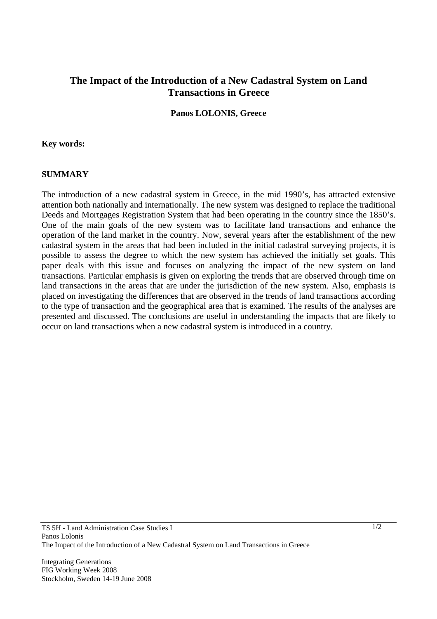# **The Impact of the Introduction of a New Cadastral System on Land Transactions in Greece**

### **Panos LOLONIS, Greece**

#### **Key words:**

#### **SUMMARY**

The introduction of a new cadastral system in Greece, in the mid 1990's, has attracted extensive attention both nationally and internationally. The new system was designed to replace the traditional Deeds and Mortgages Registration System that had been operating in the country since the 1850's. One of the main goals of the new system was to facilitate land transactions and enhance the operation of the land market in the country. Now, several years after the establishment of the new cadastral system in the areas that had been included in the initial cadastral surveying projects, it is possible to assess the degree to which the new system has achieved the initially set goals. This paper deals with this issue and focuses on analyzing the impact of the new system on land transactions. Particular emphasis is given on exploring the trends that are observed through time on land transactions in the areas that are under the jurisdiction of the new system. Also, emphasis is placed on investigating the differences that are observed in the trends of land transactions according to the type of transaction and the geographical area that is examined. The results of the analyses are presented and discussed. The conclusions are useful in understanding the impacts that are likely to occur on land transactions when a new cadastral system is introduced in a country.